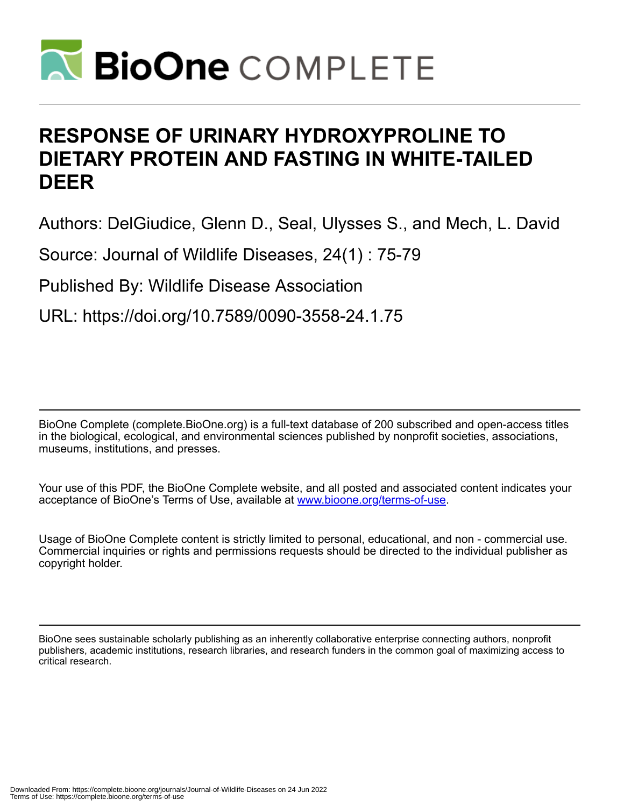

# **RESPONSE OF URINARY HYDROXYPROLINE TO DIETARY PROTEIN AND FASTING IN WHITE-TAILED DEER**

Authors: DelGiudice, Glenn D., Seal, Ulysses S., and Mech, L. David

Source: Journal of Wildlife Diseases, 24(1) : 75-79

Published By: Wildlife Disease Association

URL: https://doi.org/10.7589/0090-3558-24.1.75

BioOne Complete (complete.BioOne.org) is a full-text database of 200 subscribed and open-access titles in the biological, ecological, and environmental sciences published by nonprofit societies, associations, museums, institutions, and presses.

Your use of this PDF, the BioOne Complete website, and all posted and associated content indicates your acceptance of BioOne's Terms of Use, available at www.bioone.org/terms-of-use.

Usage of BioOne Complete content is strictly limited to personal, educational, and non - commercial use. Commercial inquiries or rights and permissions requests should be directed to the individual publisher as copyright holder.

BioOne sees sustainable scholarly publishing as an inherently collaborative enterprise connecting authors, nonprofit publishers, academic institutions, research libraries, and research funders in the common goal of maximizing access to critical research.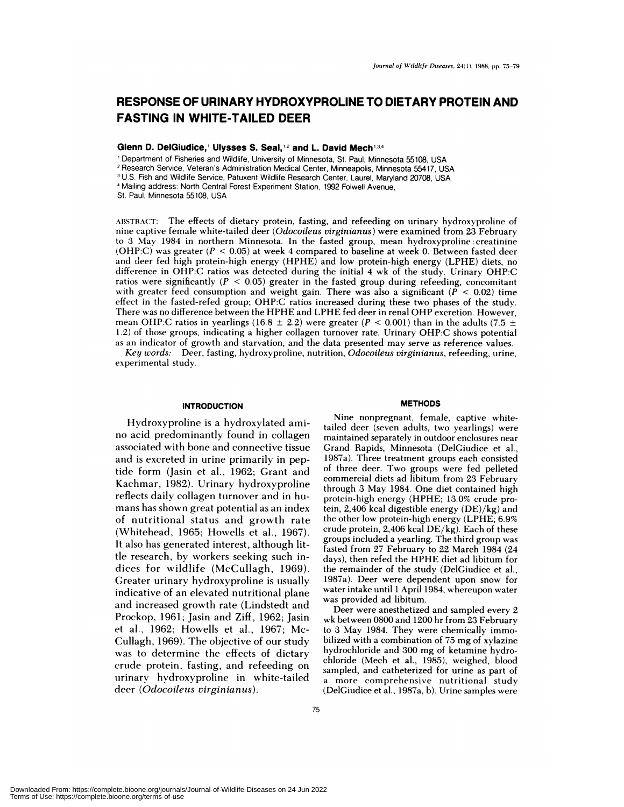# **RESPONSE OF URINARY HYDROXYPROLINE TO DIETARY PROTEIN AND FASTING IN WHITE-TAILED DEER**

**Glenn D. DelGiudice,<sup>1</sup> Ulysses S. Seal,<sup>12</sup> and L. David Mech<sup>134</sup>** 

Department of Fisheries and Wildlife, University of Minnesota, St. Paul, Minnesota 55108, USA

2 Research Service, Veteran's Administration Medical Center, Minneapolis, Minnesota 55417, USA

U.S. Fish and Wildlife Service, Patuxent Wildlife Research Center, Laurel, Maryland 20708, USA

Mailing address: North Central Forest Experiment Station, 1992 FoIwell Avenue,

St. Paul, Minnesota 55108, USA

ABSTRACT: The effects of dietary protein, fasting, and refeeding on urinary hydroxyproline of nine captive female white-tailed deer *(Odocoileus virginianus)* were examined from 23 February **to** 3 May 1984 in northern Minnesota. In the fasted group, mean hydroxyproline : creatinine (OHP:C) was **greater** *(P* < 0.05) at week 4 compared to baseline at week 0. Between fasted deer and deer fed high protein-high energy (HPHE) and low protein-high energy (LPHE) diets, no difference in OHP:C ratios was detected during the initial 4 wk of the study. Urinary OHP:C ratios were significantly  $(P < 0.05)$  greater in the fasted group during refeeding, concomitant with greater feed consumption and weight gain. There was also a significant *(P <* 0.02) time effect in the fasted-refed group; OHP:C ratios increased during these two phases of the study. There was no difference between the HPHE and LPHE fed deer in renal OHP excretion. However, mean OHP:C ratios in yearlings (16.8  $\pm$  2.2) were greater ( $P < 0.001$ ) than in the adults (7.5  $\pm$ 1.2) of those groups, indicating a higher collagen turnover rate. Urinary OHP:C shows potential as an indicator of growth and starvation, and the data presented may serve as reference values.

*Key words:* Deer, fasting, hvdroxyproline, nutrition, *Odocoileus virginianus,* refeeding, urine, experimental study.

#### **INTRODUCTION**

Hydroxyproline is a hydroxylated ami no acid predominantly found in collagen associated with bone and connective tissue and is excreted in urine primarily in peptide form (Jasin et al., 1962; Grant and Kachmar, 1982). Urinary hydroxyproline reflects daily collagen turnover and in hu mans has shown great potential as an index of nutritional status and growth rate (Whitehead, 1965; Howells et al., 1967). It also has generated interest, although little research, by workers seeking such indices for wildlife (McCullagh, 1969). Greater urinary hydroxyproline is usually indicative of an elevated nutritional plane and increased growth rate (Lindstedt and Prockop, 1961; Jasin and Ziff, 1962; Jasin et al., 1962; Howells et al., 1967; Mc-Cullagh, 1969). The objective of our study was to determine the effects of dietary crude protein, fasting, and refeeding on urinary hydroxyproline in white-tailed deer *(Odocoileus virginianus).*

#### **METHODS**

Nine nonpregnant, female, captive whitetailed deer (seven adults, two yearlings) were **maintained separately** in outdoor enclosures near Grand Rapids, Minnesota (DelGiudice et al., **1987a).** Three treatment groups each consisted of three deer. Two groups were fed pelleted commercial diets ad libitum from 23 February through 3 May 1984. One diet contained high **protein-high** energy (HPHE; 13.0% crude protein, 2,406 kcal digestible energy (DE)/kg) and the other low protein-high energy (LPHE; 6.9% crude protein, 2,406 kcal  $DE/kg$ ). Each of these groups included a yearling. The third group was fasted from 27 February to 22 March 1984 (24 days), then refed the HPHE diet ad libitum for the remainder of the study (DelGiudice et al., 1987a). Deer were dependent upon snow for water intake until 1 April 1984, whereupon water was provided ad libitum.

Deer were anesthetized and sampled every 2 wk between 0800 and 1200 hr from 23 February to 3 May 1984. They were chemically immobilized with a combination of 75 mg of xylazine hydrochloride and 300 mg of ketamine hydrochloride (Mech et al., 1985), weighed, blood sampled, and catheterized for urine as part of a more comprehensive nutritional study (DelCiudice et al., 1987a, b). Urine samples were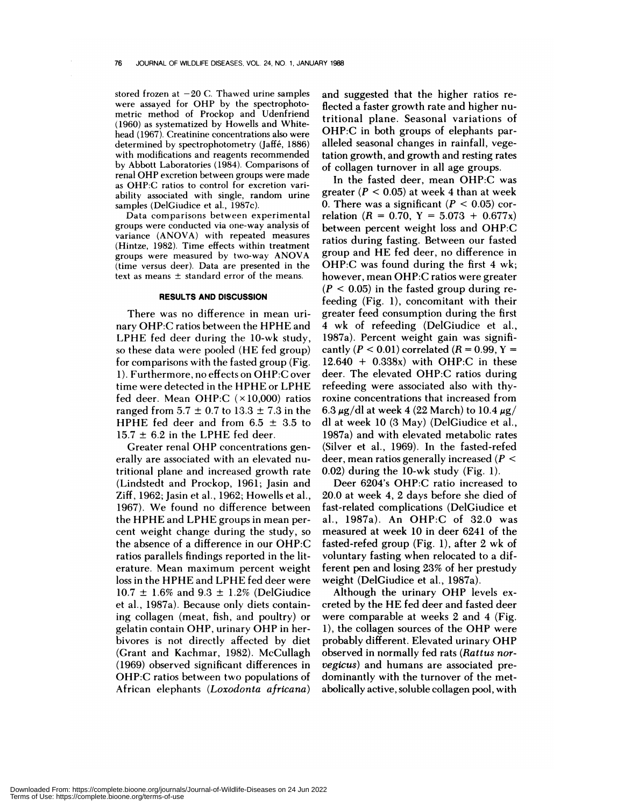stored frozen at  $-20$  C. Thawed urine samples were assayed for OHP by the spectrophotometric method of Prockop and Udenfriend (1960) as systematized by Howells and Whitehead (1967). Creatinine concentrations also were determined by spectrophotometry (Jaffé, 1886) with modifications and reagents recommended by Abbott Laboratories (1984). Comparisons of renal OHP excretion between groups were made as OHP:C ratios to control for excretion van ability associated with single, random urine samples (DelGiudice et al., 1987c).

Data **comparisons** between experimental groups were conducted via one-way analysis of variance (ANOVA) with repeated measures (Hintze, 1982). Time effects within treatment groups were measured by two-way ANOVA (time versus deer). Data are presented in the text as means  $\pm$  standard error of the means.

## **RESULTS AND DISCUSSION**

There was no difference in mean urinary OHP:C ratios between the HPHE and LPHE fed deer during the 10-wk study, so these data were pooled (HE fed group) for comparisons with the fasted group (Fig. 1). Furthermore, no effects on OHP:C over time were detected in the HPHE or LPHE fed deer. Mean OHP:C  $(\times 10,000)$  ratios ranged from  $5.7 \pm 0.7$  to  $13.3 \pm 7.3$  in the HPHE fed deer and from  $6.5 \pm 3.5$  to  $15.7 \pm 6.2$  in the LPHE fed deer.

Greater renal OHP concentrations generally are associated with an elevated nutritional plane and increased growth rate (Lindstedt and Prockop, 1961; Jasin and Ziff, 1962; Jasin et al., 1962; Howells et al., 1967). We found no difference between the HPHE and LPHE groups in mean percent weight change during the study, so the absence of a difference in our OHP:C ratios parallels findings reported in the literature. Mean maximum percent weight loss in the HPHE and LPHE fed deer were  $10.7 \pm 1.6\%$  and  $9.3 \pm 1.2\%$  (DelGiudice et al., 1987a). Because only diets containing collagen (meat, fish, and poultry) or gelatin contain OHP, urinary OHP in herbivores is not directly affected by diet (Grant and Kachmar, 1982). McCullagh (1969) observed significant differences in OHP:C ratios between two populations of African elephants *(Loxodonta africana)*

and suggested that the higher ratios reflected a faster growth rate and higher nutritional plane. Seasonal variations of OHP:C in both groups of elephants paralleled seasonal changes in rainfall, vegetation growth, and growth and resting rates of collagen turnover in allage groups.

In the fasted deer, mean OHP:C was greater  $(P < 0.05)$  at week 4 than at week 0. There was a significant  $(P < 0.05)$  correlation  $(R = 0.70, Y = 5.073 + 0.677x)$ between percent weight loss and OHP:C ratios during fasting. Between our fasted group and HE fed deer, no difference in OHP:C was found during the first 4 wk; however, mean OHP:C ratios were greater  $(P < 0.05)$  in the fasted group during refeeding (Fig. 1), concomitant with their greater feed consumption during the first *4* wk of refeeding (DelGiudice et al., 1987a). Percent weight gain was significantly  $(P < 0.01)$  correlated  $(R = 0.99, Y =$  $12.640 + 0.338x$  with OHP:C in these deer. The elevated OHP:C ratios during refeeding were associated also with thyroxine concentrations that increased from 6.3  $\mu$ g/dl at week 4 (22 March) to 10.4  $\mu$ g/ dl at week 10 (3 May) (DelGiudice et al., 1987a) and with elevated metabolic rates (Silver et al., 1969). In the fasted-refed deer, mean ratios generally increased *(P <sup>&</sup>lt;* 0.02) during the 10-wk study (Fig. 1).

Deer 6204's OHP:C ratio increased to 20.0 at week 4, 2 days before she died of fast-related complications (DelGiudice et al., 1987a). An OHP:C of 32.0 was measured at week 10 in deer 6241 of the fasted-refed group (Fig. 1), after 2 wk of voluntary fasting when relocated to a different pen and losing 23% of her prestudy weight (DelGiudice et al., 1987a).

Although the urinary OHP levels ex creted by the HE fed deer and fasted deer were comparable at weeks 2 and 4 (Fig. 1), the collagen sources of the OHP were probably different. Elevated urinary OHP observed in normally fed rats *(Rattus nor vegicus)* and humans are associated predominantly with the turnover of the met abolically active, soluble collagen pool, with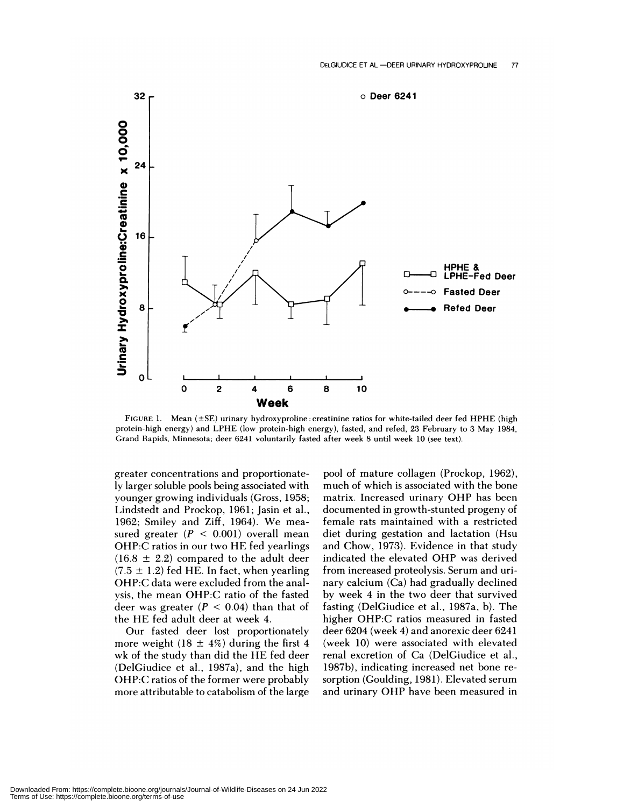

FIGURE 1. Mean (±SE) urinary hydroxyproline : creatinine ratios for white-tailed deer fed HPHE (high protein-high energy) and LPHE (low protein-high energy), fasted, and refed, 23 February to 3 May 1984, Grand Rapids, Minnesota; deer 6241 voluntarily fasted after week 8 until week 10 (see text).

greater concentrations and proportionately larger soluble poois being associated with younger growing individuals (Gross, 1958; Lindstedt and Prockop, 1961; Jasin et al., 1962; Smiley and Ziff, 1964). We mea sured greater  $(P < 0.001)$  overall mean OHP:C ratios in our two HE fed yearlings  $(16.8 \pm 2.2)$  compared to the adult deer  $(7.5 \pm 1.2)$  fed HE. In fact, when yearling OHP:C data were excluded from the analysis, the mean OHP:C ratio of the fasted deer was greater  $(P < 0.04)$  than that of the HE fed adult deer at week 4.

Our fasted deer lost proportionately more weight (18  $\pm$  4%) during the first 4 wk of the study than did the HE fed deer (DelGiudice et al., 1987a), and the high OHP:C ratios of the former were probably more attributable to catabolism of the large

pool of mature collagen (Prockop, 1962), much of which is associated with the bone matrix. Increased urinary OHP has been documented in growth-stunted progeny of female rats maintained with a restricted diet during gestation and lactation (Hsu and Chow, 1973). Evidence in that study indicated the elevated OHP was derived from increased proteolysis. Serum and urinary calcium (Ca) had gradually declined by week 4 in the two deer that survived fasting (DelGiudice et al., 1987a, b). The higher OHP:C ratios measured in fasted deer 6204 (week 4) and anorexic deer 6241 (week 10) were associated with elevated renal excretion of Ca (DelGiudice et al., 1987b), indicating increased net bone re sorption (Goulding, 1981). Elevated serum and urinary OHP have been measured in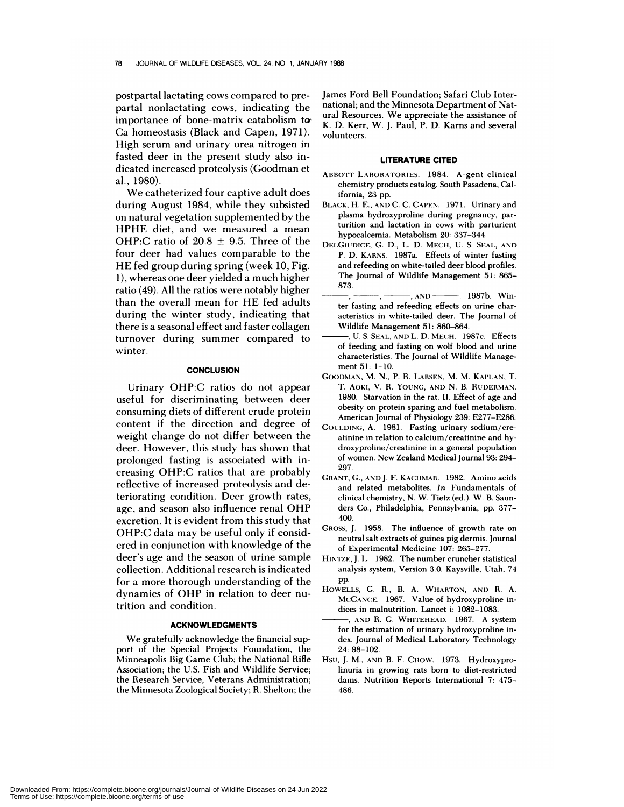postpartal lactating cows compared to prepartal nonlactating cows, indicating the importance of bone-matrix catabolism t Ca homeostasis (Black and Capen, 1971). High serum and urinary urea nitrogen in fasted deer in the present study also indicated increased proteolysis (Goodman et al., 1980).

We catheterized four captive adult does during August 1984, while they subsisted on natural vegetation supplemented by the HPHE diet, and we measured a mean OHP:C ratio of  $20.8 \pm 9.5$ . Three of the four deer had values comparable to the HE fed group during spring (week 10, Fig. 1), whereas one deer yielded a much higher ratio (49). All the ratios were notably higher than the overall mean for HE fed adults during the winter study, indicating that there is a seasonal effect and faster collagen turnover during summer compared to winter.

### **CONCLUSION**

Urinary OHP:C ratios do not appear useful for discriminating between deer consuming diets of different crude protein content if the direction and degree of weight change do not differ between the deer. However, this study has shown that prolonged fasting is associated with increasing OHP:C ratios that are probably reflective of increased proteolysis and deteriorating condition. Deer growth rates, age, and season also influence renal OHP excretion. It is evident from this study that OHP:C data may be useful only if considered in conjunction with knowledge of the deer's age and the season of urine sample collection. Additional research is indicated for a more thorough understanding of the dynamics of OHP in relation to deer nutrition and condition.

#### **ACKNOWLEDGMENTS**

We gratefully acknowledge the financial support of the Special Projects Foundation, the Minneapolis Big Game Club; the National Rifle Association; the U.S. Fish and Wildlife Service; the Research Service, Veterans Administration; the Minnesota Zoological Society; R. Shelton; the James Ford Bell Foundation; Safari Club International; and the Minnesota Department of Natural Resources. We appreciate the assistance of K. D. Kerr, W. J. Paul, P. D. Karns and several volunteers.

#### **LITERATURE CITED**

- **ABBOTT LABORATORIES.** 1984. A-gent clinical chemistry products catalog. South Pasadena, Cal**ifornia,** 23 pp.
- **BLACK,** H. E., **AND** C. C. CAPEN. 1971. Urinary and plasma hydroxyproline during pregnancy, parturition and lactation in cows with parturient hypocalcemia. Metabolism 20: 337-344.
- **DELCIUDICE,** C. D., L. D. MEcFI, U. S. SEAL, AND P. D. KARNS. 1987a. Effects of winter fasting and refeeding on white-tailed deer blood profiles. The Journal of Wildlife Management 51: 865- 873.
- -, AND ----------. 1987b. Winter fasting and refeeding effects on urine char acteristics in white-tailed deer. The Journal of Wildlife Management 51: 860-864.
- U. S. SEAL, AND L. D. MECH. 1987c. Effects of feeding and fasting on wolf blood and urine characteristics. The Journal of Wildlife Manage ment 51: 1-10.
- GOODMAN, M. N., P. R. LARSEN, M. M. KAPLAN, T. T. AOKI, V. R. YOUNG, AND N. B. RUDERMAN. 1980. Starvation in the rat. II. Effect of age and obesity on protein sparing and fuel metabolism. American Journal of Physiology 239: E277-E286.
- GOULDING, A. 1981. Fasting urinary sodium/creatinine in relation to calcium/creatinine and hydroxyproline/creatinine in a general population of women. New Zealand Medical Journal 93: 294- 297.
- GRANT, G., AND J. F. KACHMAR. 1982. Amino acids and related metabolites. *In* Fundamentals of clinical chemistry, N. W. Tietz (ed). W. B. Saunders Co., Philadelphia, Pennsylvania, pp. 377- 400.
- **CROSS,** J. 1958. The influence of growth rate on neutral salt extracts of guinea pig dermis. Journal of Experimental Medicine 107: 265-277.
- HINTZE, J. L. 1982. The number cruncher statistical analysis system, Version 3.0. Kaysville, Utah, 74 pp.
- **HOWELLS,** C. R., B. A. WHARTON, AND R. A. MCCANE. 1967. Value of hydroxyproline indices in malnutrition. Lancet i: 1082-1083.
- AN!) R. C. **WIIITEHEAD.** 1967. A system for the estimation of urinary hydroxyproline index. Journal of Medical Laboratory Technology 24: 98-102.
- HSU, J. M., AND B. F. **CHOW.** 1973. Hydroxyprolinuria in growing rats born to diet-restricted dams. Nutrition Reports International 7: 475- 486.